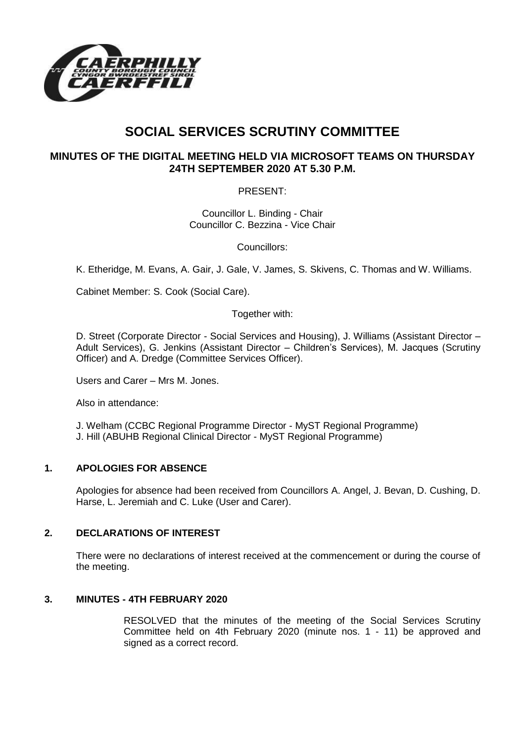

# **SOCIAL SERVICES SCRUTINY COMMITTEE**

# **MINUTES OF THE DIGITAL MEETING HELD VIA MICROSOFT TEAMS ON THURSDAY 24TH SEPTEMBER 2020 AT 5.30 P.M.**

PRESENT:

Councillor L. Binding - Chair Councillor C. Bezzina - Vice Chair

Councillors:

K. Etheridge, M. Evans, A. Gair, J. Gale, V. James, S. Skivens, C. Thomas and W. Williams.

Cabinet Member: S. Cook (Social Care).

Together with:

D. Street (Corporate Director - Social Services and Housing), J. Williams (Assistant Director – Adult Services), G. Jenkins (Assistant Director – Children's Services), M. Jacques (Scrutiny Officer) and A. Dredge (Committee Services Officer).

Users and Carer – Mrs M. Jones.

Also in attendance:

J. Welham (CCBC Regional Programme Director - MyST Regional Programme) J. Hill (ABUHB Regional Clinical Director - MyST Regional Programme)

## **1. APOLOGIES FOR ABSENCE**

Apologies for absence had been received from Councillors A. Angel, J. Bevan, D. Cushing, D. Harse, L. Jeremiah and C. Luke (User and Carer).

#### **2. DECLARATIONS OF INTEREST**

There were no declarations of interest received at the commencement or during the course of the meeting.

#### **3. MINUTES - 4TH FEBRUARY 2020**

RESOLVED that the minutes of the meeting of the Social Services Scrutiny Committee held on 4th February 2020 (minute nos. 1 - 11) be approved and signed as a correct record.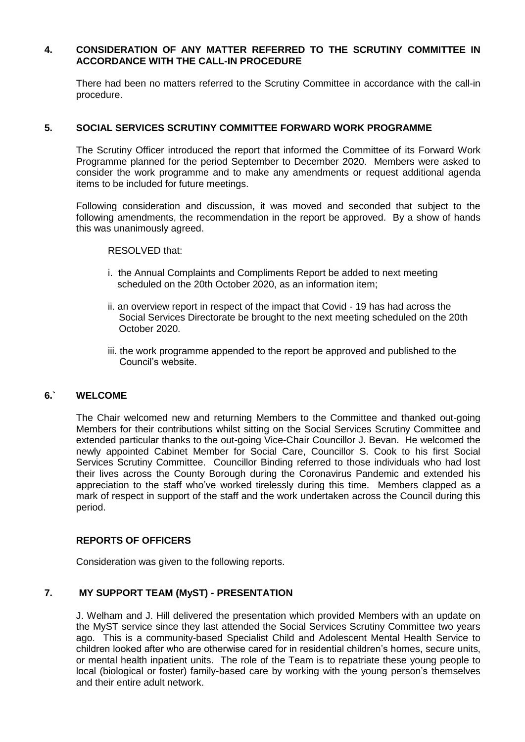#### **4. CONSIDERATION OF ANY MATTER REFERRED TO THE SCRUTINY COMMITTEE IN ACCORDANCE WITH THE CALL-IN PROCEDURE**

There had been no matters referred to the Scrutiny Committee in accordance with the call-in procedure.

#### **5. SOCIAL SERVICES SCRUTINY COMMITTEE FORWARD WORK PROGRAMME**

The Scrutiny Officer introduced the report that informed the Committee of its Forward Work Programme planned for the period September to December 2020. Members were asked to consider the work programme and to make any amendments or request additional agenda items to be included for future meetings.

Following consideration and discussion, it was moved and seconded that subject to the following amendments, the recommendation in the report be approved. By a show of hands this was unanimously agreed.

RESOLVED that:

- i. the Annual Complaints and Compliments Report be added to next meeting scheduled on the 20th October 2020, as an information item;
- ii. an overview report in respect of the impact that Covid 19 has had across the Social Services Directorate be brought to the next meeting scheduled on the 20th October 2020.
- iii. the work programme appended to the report be approved and published to the Council's website.

#### **6.` WELCOME**

The Chair welcomed new and returning Members to the Committee and thanked out-going Members for their contributions whilst sitting on the Social Services Scrutiny Committee and extended particular thanks to the out-going Vice-Chair Councillor J. Bevan. He welcomed the newly appointed Cabinet Member for Social Care, Councillor S. Cook to his first Social Services Scrutiny Committee. Councillor Binding referred to those individuals who had lost their lives across the County Borough during the Coronavirus Pandemic and extended his appreciation to the staff who've worked tirelessly during this time. Members clapped as a mark of respect in support of the staff and the work undertaken across the Council during this period.

#### **REPORTS OF OFFICERS**

Consideration was given to the following reports.

## **7. MY SUPPORT TEAM (MyST) - PRESENTATION**

J. Welham and J. Hill delivered the presentation which provided Members with an update on the MyST service since they last attended the Social Services Scrutiny Committee two years ago. This is a community-based Specialist Child and Adolescent Mental Health Service to children looked after who are otherwise cared for in residential children's homes, secure units, or mental health inpatient units. The role of the Team is to repatriate these young people to local (biological or foster) family-based care by working with the young person's themselves and their entire adult network.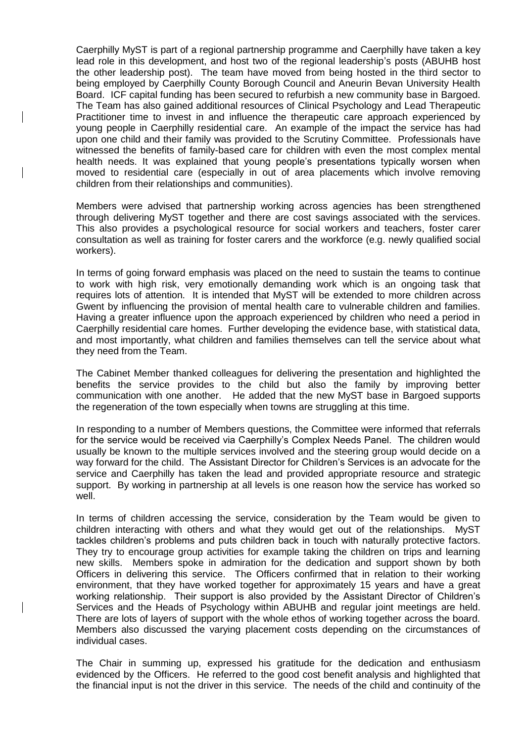Caerphilly MyST is part of a regional partnership programme and Caerphilly have taken a key lead role in this development, and host two of the regional leadership's posts (ABUHB host the other leadership post). The team have moved from being hosted in the third sector to being employed by Caerphilly County Borough Council and Aneurin Bevan University Health Board. ICF capital funding has been secured to refurbish a new community base in Bargoed. The Team has also gained additional resources of Clinical Psychology and Lead Therapeutic Practitioner time to invest in and influence the therapeutic care approach experienced by young people in Caerphilly residential care. An example of the impact the service has had upon one child and their family was provided to the Scrutiny Committee. Professionals have witnessed the benefits of family-based care for children with even the most complex mental health needs. It was explained that young people's presentations typically worsen when moved to residential care (especially in out of area placements which involve removing children from their relationships and communities).

Members were advised that partnership working across agencies has been strengthened through delivering MyST together and there are cost savings associated with the services. This also provides a psychological resource for social workers and teachers, foster carer consultation as well as training for foster carers and the workforce (e.g. newly qualified social workers).

In terms of going forward emphasis was placed on the need to sustain the teams to continue to work with high risk, very emotionally demanding work which is an ongoing task that requires lots of attention. It is intended that MyST will be extended to more children across Gwent by influencing the provision of mental health care to vulnerable children and families. Having a greater influence upon the approach experienced by children who need a period in Caerphilly residential care homes. Further developing the evidence base, with statistical data, and most importantly, what children and families themselves can tell the service about what they need from the Team.

The Cabinet Member thanked colleagues for delivering the presentation and highlighted the benefits the service provides to the child but also the family by improving better communication with one another. He added that the new MyST base in Bargoed supports the regeneration of the town especially when towns are struggling at this time.

In responding to a number of Members questions, the Committee were informed that referrals for the service would be received via Caerphilly's Complex Needs Panel. The children would usually be known to the multiple services involved and the steering group would decide on a way forward for the child. The Assistant Director for Children's Services is an advocate for the service and Caerphilly has taken the lead and provided appropriate resource and strategic support. By working in partnership at all levels is one reason how the service has worked so well.

In terms of children accessing the service, consideration by the Team would be given to children interacting with others and what they would get out of the relationships. MyST tackles children's problems and puts children back in touch with naturally protective factors. They try to encourage group activities for example taking the children on trips and learning new skills. Members spoke in admiration for the dedication and support shown by both Officers in delivering this service. The Officers confirmed that in relation to their working environment, that they have worked together for approximately 15 years and have a great working relationship. Their support is also provided by the Assistant Director of Children's Services and the Heads of Psychology within ABUHB and regular joint meetings are held. There are lots of layers of support with the whole ethos of working together across the board. Members also discussed the varying placement costs depending on the circumstances of individual cases.

The Chair in summing up, expressed his gratitude for the dedication and enthusiasm evidenced by the Officers. He referred to the good cost benefit analysis and highlighted that the financial input is not the driver in this service. The needs of the child and continuity of the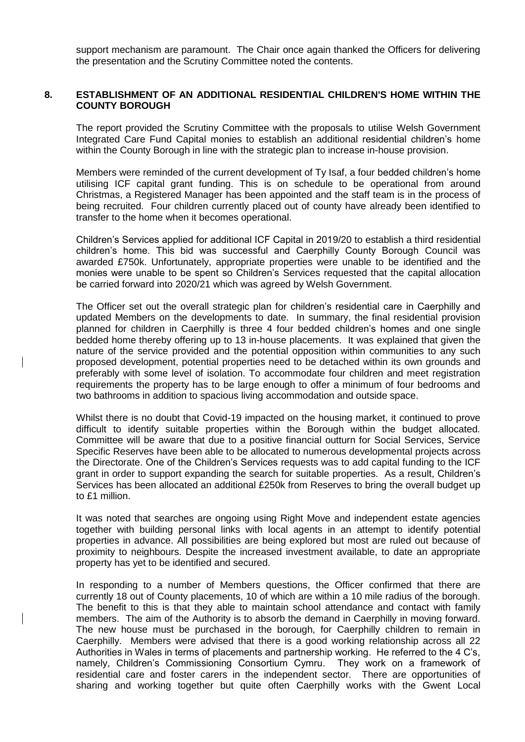support mechanism are paramount. The Chair once again thanked the Officers for delivering the presentation and the Scrutiny Committee noted the contents.

#### **8. ESTABLISHMENT OF AN ADDITIONAL RESIDENTIAL CHILDREN'S HOME WITHIN THE COUNTY BOROUGH**

The report provided the Scrutiny Committee with the proposals to utilise Welsh Government Integrated Care Fund Capital monies to establish an additional residential children's home within the County Borough in line with the strategic plan to increase in-house provision.

Members were reminded of the current development of Ty Isaf, a four bedded children's home utilising ICF capital grant funding. This is on schedule to be operational from around Christmas, a Registered Manager has been appointed and the staff team is in the process of being recruited. Four children currently placed out of county have already been identified to transfer to the home when it becomes operational.

Children's Services applied for additional ICF Capital in 2019/20 to establish a third residential children's home. This bid was successful and Caerphilly County Borough Council was awarded £750k. Unfortunately, appropriate properties were unable to be identified and the monies were unable to be spent so Children's Services requested that the capital allocation be carried forward into 2020/21 which was agreed by Welsh Government.

The Officer set out the overall strategic plan for children's residential care in Caerphilly and updated Members on the developments to date. In summary, the final residential provision planned for children in Caerphilly is three 4 four bedded children's homes and one single bedded home thereby offering up to 13 in-house placements. It was explained that given the nature of the service provided and the potential opposition within communities to any such proposed development, potential properties need to be detached within its own grounds and preferably with some level of isolation. To accommodate four children and meet registration requirements the property has to be large enough to offer a minimum of four bedrooms and two bathrooms in addition to spacious living accommodation and outside space.

Whilst there is no doubt that Covid-19 impacted on the housing market, it continued to prove difficult to identify suitable properties within the Borough within the budget allocated. Committee will be aware that due to a positive financial outturn for Social Services, Service Specific Reserves have been able to be allocated to numerous developmental projects across the Directorate. One of the Children's Services requests was to add capital funding to the ICF grant in order to support expanding the search for suitable properties. As a result, Children's Services has been allocated an additional £250k from Reserves to bring the overall budget up to £1 million.

It was noted that searches are ongoing using Right Move and independent estate agencies together with building personal links with local agents in an attempt to identify potential properties in advance. All possibilities are being explored but most are ruled out because of proximity to neighbours. Despite the increased investment available, to date an appropriate property has yet to be identified and secured.

In responding to a number of Members questions, the Officer confirmed that there are currently 18 out of County placements, 10 of which are within a 10 mile radius of the borough. The benefit to this is that they able to maintain school attendance and contact with family members. The aim of the Authority is to absorb the demand in Caerphilly in moving forward. The new house must be purchased in the borough, for Caerphilly children to remain in Caerphilly. Members were advised that there is a good working relationship across all 22 Authorities in Wales in terms of placements and partnership working. He referred to the 4 C's, namely, Children's Commissioning Consortium Cymru. They work on a framework of residential care and foster carers in the independent sector. There are opportunities of sharing and working together but quite often Caerphilly works with the Gwent Local